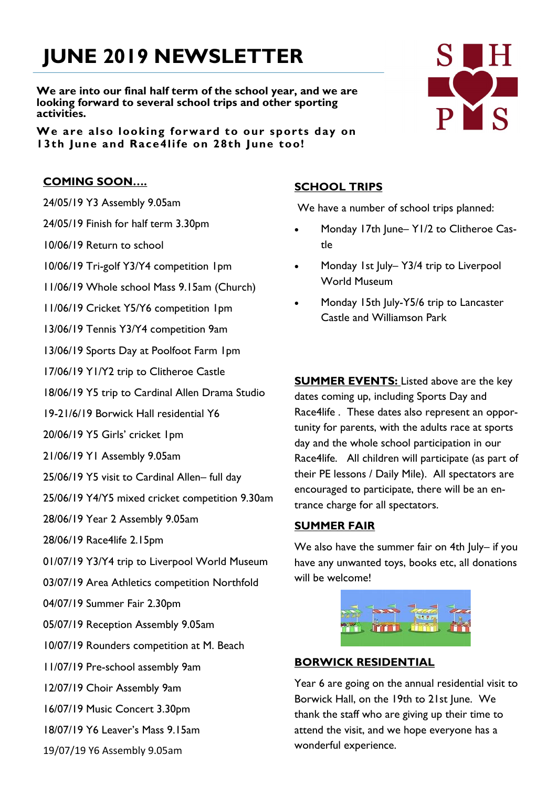# **JUNE 2019 NEWSLETTER**

**We are into our final half term of the school year, and we are looking forward to several school trips and other sporting activities.**

**We are also looking forward to our sports day on 13th June and Race4life on 28th June too!**

## **COMING SOON….**

- 24/05/19 Y3 Assembly 9.05am
- 24/05/19 Finish for half term 3.30pm
- 10/06/19 Return to school
- 10/06/19 Tri-golf Y3/Y4 competition 1pm
- 11/06/19 Whole school Mass 9.15am (Church)
- 11/06/19 Cricket Y5/Y6 competition 1pm
- 13/06/19 Tennis Y3/Y4 competition 9am
- 13/06/19 Sports Day at Poolfoot Farm 1pm
- 17/06/19 Y1/Y2 trip to Clitheroe Castle
- 18/06/19 Y5 trip to Cardinal Allen Drama Studio
- 19-21/6/19 Borwick Hall residential Y6
- 20/06/19 Y5 Girls' cricket 1pm
- 21/06/19 Y1 Assembly 9.05am
- 25/06/19 Y5 visit to Cardinal Allen– full day
- 25/06/19 Y4/Y5 mixed cricket competition 9.30am
- 28/06/19 Year 2 Assembly 9.05am
- 28/06/19 Race4life 2.15pm
- 01/07/19 Y3/Y4 trip to Liverpool World Museum
- 03/07/19 Area Athletics competition Northfold
- 04/07/19 Summer Fair 2.30pm
- 05/07/19 Reception Assembly 9.05am
- 10/07/19 Rounders competition at M. Beach
- 11/07/19 Pre-school assembly 9am
- 12/07/19 Choir Assembly 9am
- 16/07/19 Music Concert 3.30pm
- 18/07/19 Y6 Leaver's Mass 9.15am
- 19/07/19 Y6 Assembly 9.05am

# **SCHOOL TRIPS**

We have a number of school trips planned:

- Monday 17th June– Y1/2 to Clitheroe Castle
- Monday 1st July– Y3/4 trip to Liverpool World Museum
- Monday 15th July-Y5/6 trip to Lancaster Castle and Williamson Park

**SUMMER EVENTS:** Listed above are the key dates coming up, including Sports Day and Race4life . These dates also represent an opportunity for parents, with the adults race at sports day and the whole school participation in our Race4life. All children will participate (as part of their PE lessons / Daily Mile). All spectators are encouraged to participate, there will be an entrance charge for all spectators.

#### **SUMMER FAIR**

We also have the summer fair on 4th July- if you have any unwanted toys, books etc, all donations will be welcome!

|                   |      |             | - |
|-------------------|------|-------------|---|
| <b>CONTRACTOR</b> | WTTL | <b>TIME</b> | m |
|                   |      |             |   |

#### **BORWICK RESIDENTIAL**

Year 6 are going on the annual residential visit to Borwick Hall, on the 19th to 21st June. We thank the staff who are giving up their time to attend the visit, and we hope everyone has a wonderful experience.

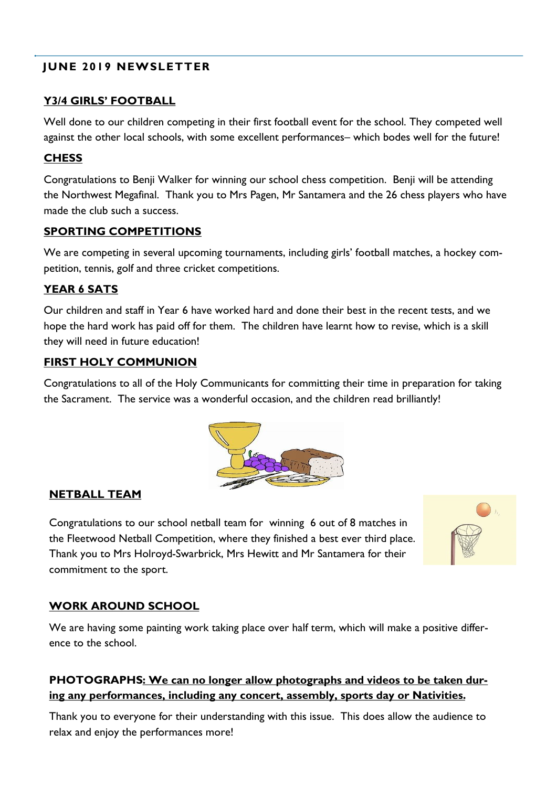# **JUNE 2019 NEWSLETTER**

# **Y3/4 GIRLS' FOOTBALL**

Well done to our children competing in their first football event for the school. They competed well against the other local schools, with some excellent performances– which bodes well for the future!

# **CHESS**

Congratulations to Benji Walker for winning our school chess competition. Benji will be attending the Northwest Megafinal. Thank you to Mrs Pagen, Mr Santamera and the 26 chess players who have made the club such a success.

## **SPORTING COMPETITIONS**

We are competing in several upcoming tournaments, including girls' football matches, a hockey competition, tennis, golf and three cricket competitions.

# **YEAR 6 SATS**

Our children and staff in Year 6 have worked hard and done their best in the recent tests, and we hope the hard work has paid off for them. The children have learnt how to revise, which is a skill they will need in future education!

# **FIRST HOLY COMMUNION**

Congratulations to all of the Holy Communicants for committing their time in preparation for taking the Sacrament. The service was a wonderful occasion, and the children read brilliantly!



## **NETBALL TEAM**

Congratulations to our school netball team for winning 6 out of 8 matches in the Fleetwood Netball Competition, where they finished a best ever third place. Thank you to Mrs Holroyd-Swarbrick, Mrs Hewitt and Mr Santamera for their commitment to the sport.



# **WORK AROUND SCHOOL**

We are having some painting work taking place over half term, which will make a positive difference to the school.

# **PHOTOGRAPHS: We can no longer allow photographs and videos to be taken during any performances, including any concert, assembly, sports day or Nativities.**

Thank you to everyone for their understanding with this issue. This does allow the audience to relax and enjoy the performances more!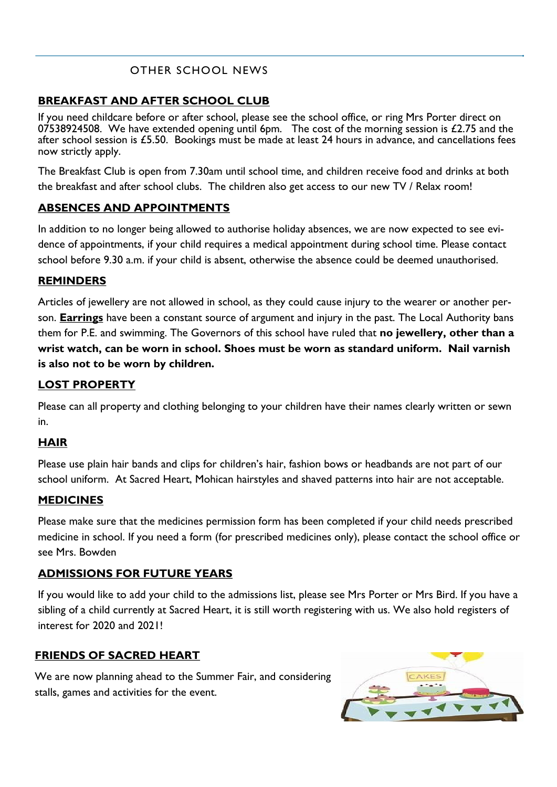# OTHER SCHOOL NEWS

## **BREAKFAST AND AFTER SCHOOL CLUB**

If you need childcare before or after school, please see the school office, or ring Mrs Porter direct on 07538924508. We have extended opening until 6pm. The cost of the morning session is  $£2.75$  and the after school session is £5.50. Bookings must be made at least 24 hours in advance, and cancellations fees now strictly apply.

The Breakfast Club is open from 7.30am until school time, and children receive food and drinks at both the breakfast and after school clubs. The children also get access to our new TV / Relax room!

## **ABSENCES AND APPOINTMENTS**

In addition to no longer being allowed to authorise holiday absences, we are now expected to see evidence of appointments, if your child requires a medical appointment during school time. Please contact school before 9.30 a.m. if your child is absent, otherwise the absence could be deemed unauthorised.

#### **REMINDERS**

Articles of jewellery are not allowed in school, as they could cause injury to the wearer or another person. **Earrings** have been a constant source of argument and injury in the past. The Local Authority bans them for P.E. and swimming. The Governors of this school have ruled that **no jewellery, other than a wrist watch, can be worn in school. Shoes must be worn as standard uniform. Nail varnish is also not to be worn by children.**

## **LOST PROPERTY**

Please can all property and clothing belonging to your children have their names clearly written or sewn in.

#### **HAIR**

Please use plain hair bands and clips for children's hair, fashion bows or headbands are not part of our school uniform. At Sacred Heart, Mohican hairstyles and shaved patterns into hair are not acceptable.

#### **MEDICINES**

Please make sure that the medicines permission form has been completed if your child needs prescribed medicine in school. If you need a form (for prescribed medicines only), please contact the school office or see Mrs. Bowden

#### **ADMISSIONS FOR FUTURE YEARS**

If you would like to add your child to the admissions list, please see Mrs Porter or Mrs Bird. If you have a sibling of a child currently at Sacred Heart, it is still worth registering with us. We also hold registers of interest for 2020 and 2021!

#### **FRIENDS OF SACRED HEART**

We are now planning ahead to the Summer Fair, and considering stalls, games and activities for the event.